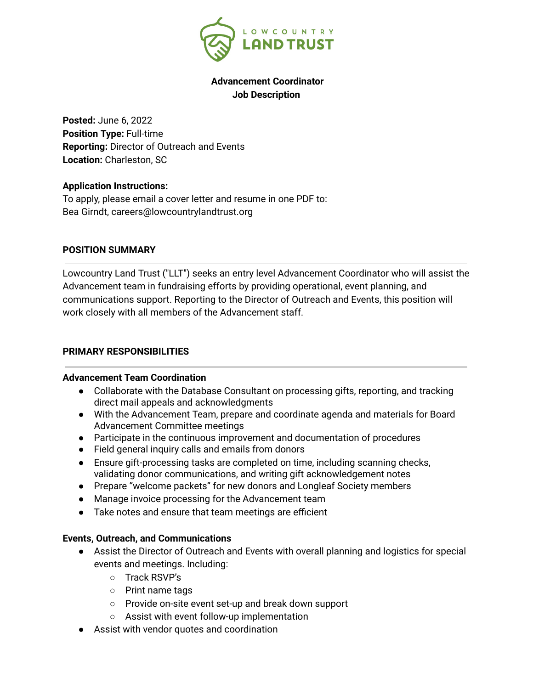

# **Advancement Coordinator Job Description**

**Posted:** June 6, 2022 **Position Type:** Full-time **Reporting:** Director of Outreach and Events **Location:** Charleston, SC

### **Application Instructions:**

To apply, please email a cover letter and resume in one PDF to: Bea Girndt, careers@lowcountrylandtrust.org

#### **POSITION SUMMARY**

Lowcountry Land Trust ("LLT") seeks an entry level Advancement Coordinator who will assist the Advancement team in fundraising efforts by providing operational, event planning, and communications support. Reporting to the Director of Outreach and Events, this position will work closely with all members of the Advancement staff.

### **PRIMARY RESPONSIBILITIES**

#### **Advancement Team Coordination**

- Collaborate with the Database Consultant on processing gifts, reporting, and tracking direct mail appeals and acknowledgments
- With the Advancement Team, prepare and coordinate agenda and materials for Board Advancement Committee meetings
- Participate in the continuous improvement and documentation of procedures
- Field general inquiry calls and emails from donors
- Ensure gift-processing tasks are completed on time, including scanning checks, validating donor communications, and writing gift acknowledgement notes
- Prepare "welcome packets" for new donors and Longleaf Society members
- Manage invoice processing for the Advancement team
- Take notes and ensure that team meetings are efficient

### **Events, Outreach, and Communications**

- Assist the Director of Outreach and Events with overall planning and logistics for special events and meetings. Including:
	- Track RSVP's
	- Print name tags
	- Provide on-site event set-up and break down support
	- Assist with event follow-up implementation
- Assist with vendor quotes and coordination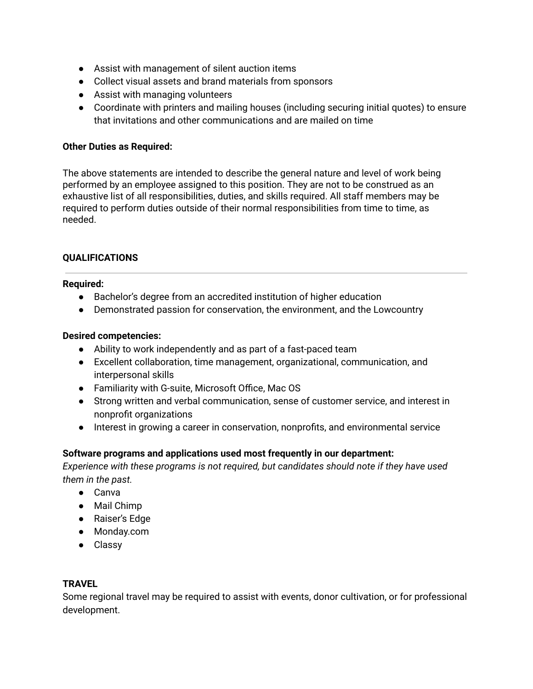- Assist with management of silent auction items
- Collect visual assets and brand materials from sponsors
- Assist with managing volunteers
- Coordinate with printers and mailing houses (including securing initial quotes) to ensure that invitations and other communications and are mailed on time

# **Other Duties as Required:**

The above statements are intended to describe the general nature and level of work being performed by an employee assigned to this position. They are not to be construed as an exhaustive list of all responsibilities, duties, and skills required. All staff members may be required to perform duties outside of their normal responsibilities from time to time, as needed.

# **QUALIFICATIONS**

### **Required:**

- Bachelor's degree from an accredited institution of higher education
- Demonstrated passion for conservation, the environment, and the Lowcountry

### **Desired competencies:**

- Ability to work independently and as part of a fast-paced team
- Excellent collaboration, time management, organizational, communication, and interpersonal skills
- Familiarity with G-suite, Microsoft Office, Mac OS
- Strong written and verbal communication, sense of customer service, and interest in nonprofit organizations
- Interest in growing a career in conservation, nonprofits, and environmental service

### **Software programs and applications used most frequently in our department:**

*Experience with these programs is not required, but candidates should note if they have used them in the past.*

- Canva
- Mail Chimp
- Raiser's Edge
- Monday.com
- Classy

### **TRAVEL**

Some regional travel may be required to assist with events, donor cultivation, or for professional development.